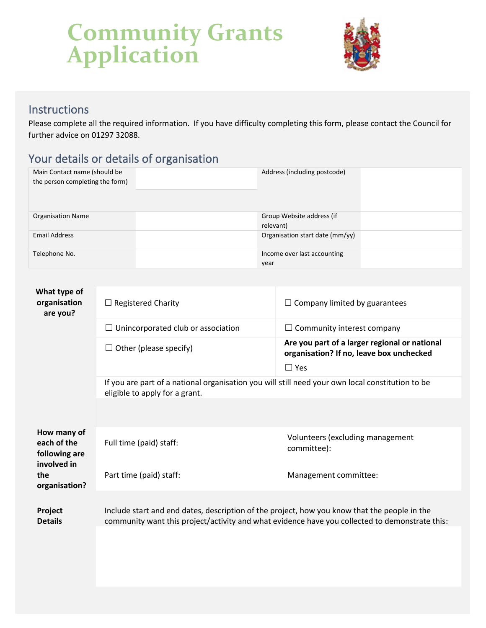

#### **Instructions**

Please complete all the required information. If you have difficulty completing this form, please contact the Council for further advice on 01297 32088.

#### Your details or details of organisation

| Main Contact name (should be<br>the person completing the form) | Address (including postcode)           |
|-----------------------------------------------------------------|----------------------------------------|
| <b>Organisation Name</b>                                        | Group Website address (if<br>relevant) |
| <b>Email Address</b>                                            | Organisation start date (mm/yy)        |
| Telephone No.                                                   | Income over last accounting<br>year    |

| What type of<br>organisation<br>are you?                   | $\Box$ Registered Charity                                                                                                                                                                      | $\Box$ Company limited by guarantees                                                      |  |
|------------------------------------------------------------|------------------------------------------------------------------------------------------------------------------------------------------------------------------------------------------------|-------------------------------------------------------------------------------------------|--|
|                                                            | Unincorporated club or association                                                                                                                                                             | Community interest company                                                                |  |
|                                                            | Other (please specify)                                                                                                                                                                         | Are you part of a larger regional or national<br>organisation? If no, leave box unchecked |  |
|                                                            |                                                                                                                                                                                                | $\Box$ Yes                                                                                |  |
|                                                            | If you are part of a national organisation you will still need your own local constitution to be<br>eligible to apply for a grant.                                                             |                                                                                           |  |
|                                                            |                                                                                                                                                                                                |                                                                                           |  |
| How many of<br>each of the<br>following are<br>involved in | Full time (paid) staff:                                                                                                                                                                        | Volunteers (excluding management<br>committee):                                           |  |
| the<br>organisation?                                       | Part time (paid) staff:                                                                                                                                                                        | Management committee:                                                                     |  |
| Project<br><b>Details</b>                                  | Include start and end dates, description of the project, how you know that the people in the<br>community want this project/activity and what evidence have you collected to demonstrate this: |                                                                                           |  |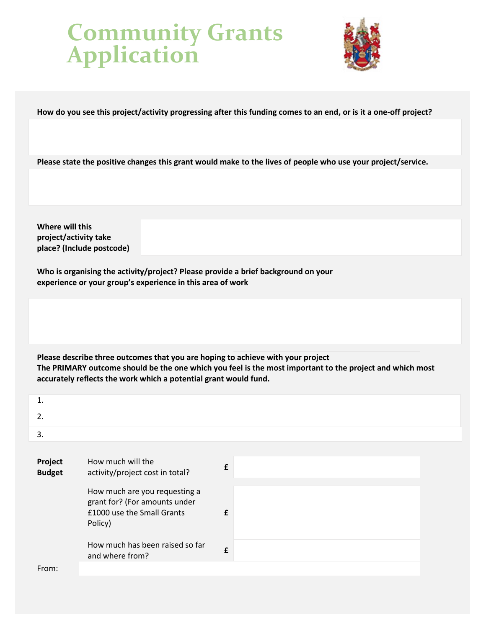

**How do you see this project/activity progressing after this funding comes to an end, or is it a one-off project?**

**Please state the positive changes this grant would make to the lives of people who use your project/service.**

**Where will this project/activity take place? (Include postcode)**

**Who is organising the activity/project? Please provide a brief background on your experience or your group's experience in this area of work**

**Please describe three outcomes that you are hoping to achieve with your project The PRIMARY outcome should be the one which you feel is the most important to the project and which most accurately reflects the work which a potential grant would fund.**

| 1.                       |                                                                                                         |   |  |
|--------------------------|---------------------------------------------------------------------------------------------------------|---|--|
| 2.                       |                                                                                                         |   |  |
| 3.                       |                                                                                                         |   |  |
|                          |                                                                                                         |   |  |
| Project<br><b>Budget</b> | How much will the<br>activity/project cost in total?                                                    | £ |  |
|                          | How much are you requesting a<br>grant for? (For amounts under<br>£1000 use the Small Grants<br>Policy) | £ |  |
|                          | How much has been raised so far<br>and where from?                                                      | £ |  |
| From:                    |                                                                                                         |   |  |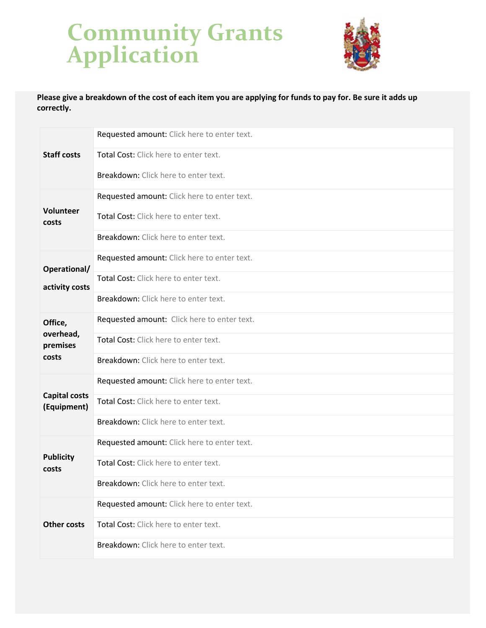

**Please give a breakdown of the cost of each item you are applying for funds to pay for. Be sure it adds up correctly.**

| <b>Staff costs</b>                  | Requested amount: Click here to enter text. |
|-------------------------------------|---------------------------------------------|
|                                     | Total Cost: Click here to enter text.       |
|                                     | Breakdown: Click here to enter text.        |
|                                     | Requested amount: Click here to enter text. |
| Volunteer<br>costs                  | Total Cost: Click here to enter text.       |
|                                     | Breakdown: Click here to enter text.        |
| Operational/                        | Requested amount: Click here to enter text. |
| activity costs                      | Total Cost: Click here to enter text.       |
|                                     | Breakdown: Click here to enter text.        |
| Office,                             | Requested amount: Click here to enter text. |
| overhead,<br>premises               | Total Cost: Click here to enter text.       |
| costs                               | Breakdown: Click here to enter text.        |
|                                     | Requested amount: Click here to enter text. |
| <b>Capital costs</b><br>(Equipment) | Total Cost: Click here to enter text.       |
|                                     | Breakdown: Click here to enter text.        |
|                                     | Requested amount: Click here to enter text. |
| <b>Publicity</b><br>costs           | Total Cost: Click here to enter text.       |
|                                     | Breakdown: Click here to enter text.        |
| <b>Other costs</b>                  | Requested amount: Click here to enter text. |
|                                     | Total Cost: Click here to enter text.       |
|                                     | Breakdown: Click here to enter text.        |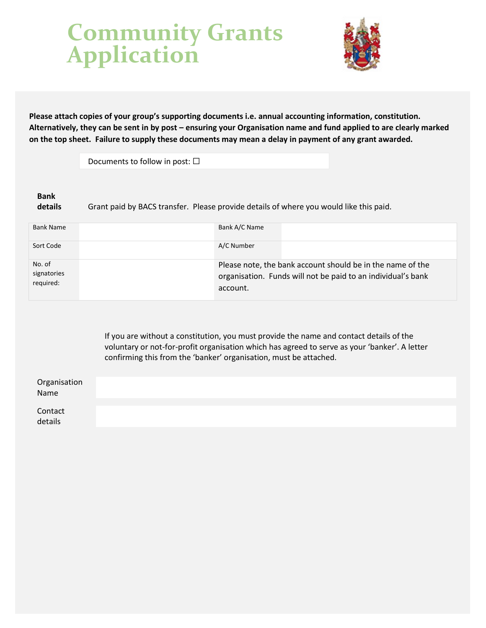

**Please attach copies of your group's supporting documents i.e. annual accounting information, constitution. Alternatively, they can be sent in by post – ensuring your Organisation name and fund applied to are clearly marked on the top sheet. Failure to supply these documents may mean a delay in payment of any grant awarded.**

Documents to follow in post:  $\square$ 

#### **Bank**

**details** Grant paid by BACS transfer. Please provide details of where you would like this paid.

| <b>Bank Name</b>                   | Bank A/C Name                                                                                                                          |
|------------------------------------|----------------------------------------------------------------------------------------------------------------------------------------|
| Sort Code                          | A/C Number                                                                                                                             |
| No. of<br>signatories<br>required: | Please note, the bank account should be in the name of the<br>organisation. Funds will not be paid to an individual's bank<br>account. |

If you are without a constitution, you must provide the name and contact details of the voluntary or not-for-profit organisation which has agreed to serve as your 'banker'. A letter confirming this from the 'banker' organisation, must be attached.

| Organisation<br>Name |  |  |
|----------------------|--|--|
| Contact<br>details   |  |  |